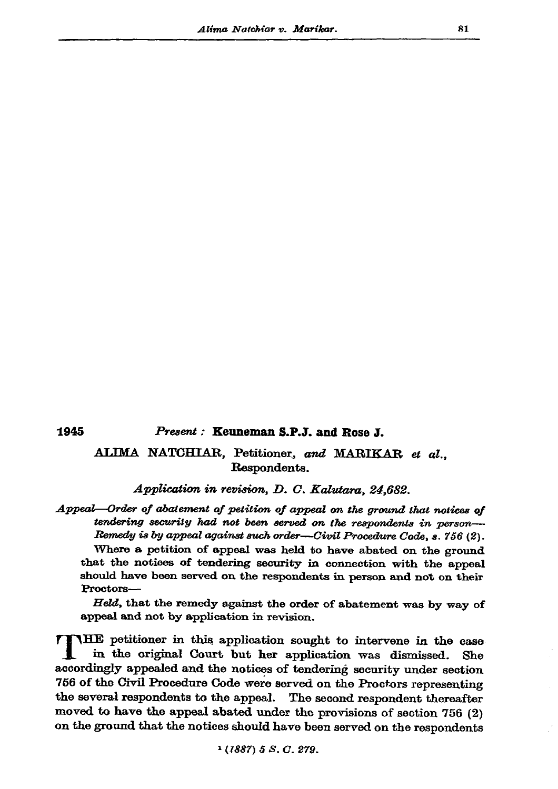1945

Present: Keuneman S.P.J. and Rose J.

## ALIMA NATCHIAR, Petitioner, and MARIKAR et al., Respondents.

Application in revision, D. C. Kalutara, 24,682.

Appeal-Order of abatement of petition of appeal on the ground that notices of tendering security had not been served on the respondents in person-Remedy is by appeal against such order-Civil Procedure Code, s. 756 (2).

Where a petition of appeal was held to have abated on the ground that the notices of tendering security in connection with the appeal should have been served on the respondents in person and not on their Proctors-

Held, that the remedy against the order of abatement was by way of appeal and not by application in revision.

TTHE petitioner in this application sought to intervene in the case in the original Court but her application was dismissed. She accordingly appealed and the notices of tendering security under section 756 of the Civil Procedure Code were served on the Proctors representing the several respondents to the appeal. The second respondent thereafter moved to have the appeal abated under the provisions of section 756 (2) on the ground that the notices should have been served on the respondents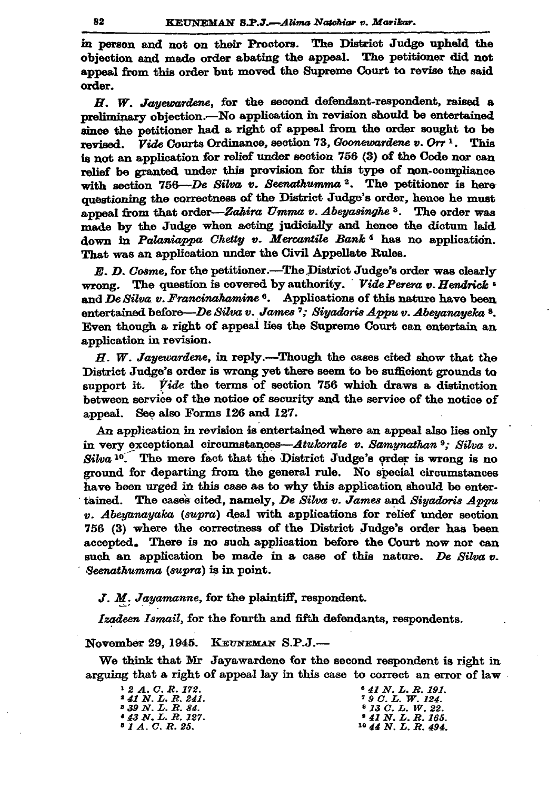in person and not on their Proctors. The District Judge upheld the objection and made order abating the appeal. The petitioner did not appeal from this order but moved the Supreme Court to revise the said order.

H. W. Jayewardene, for the second defendant-respondent, raised a preliminary objection.-No application in revision should be entertained since the petitioner had a right of appeal from the order sought to be *Vide* Courts Ordinance, section 73, Goonewardene v. Orr<sup>1</sup>. This revised. is not an application for relief under section 756 (3) of the Code nor can relief be granted under this provision for this type of non-compliance with section 756-De Silva v. Seenathumma<sup>2</sup>. The petitioner is here questioning the correctness of the District Judge's order, hence he must appeal from that order—Zahira Umma v. Abeyasinghe 3. The order was made by the Judge when acting judicially and hence the dictum laid down in Palaniappa Chetty v. Mercantile Bank<sup>4</sup> has no application. That was an application under the Civil Appellate Rules.

E. D. Cosme, for the petitioner.—The District Judge's order was clearly wrong. The question is covered by authority. Vide Perera v. Hendrick <sup>5</sup> and De Silva v. Francinahamine<sup>6</sup>. Applications of this nature have been entertained before—De Silva v. James <sup>7</sup>; Siyadoris Appu v. Abeyanayeka <sup>8</sup>. Even though a right of appeal lies the Supreme Court can entertain an application in revision.

 $H.$  W. Jayewardene, in reply.—Though the cases cited show that the District Judge's order is wrong yet there seem to be sufficient grounds to support it. Vide the terms of section 756 which draws a distinction between service of the notice of security and the service of the notice of appeal. See also Forms 126 and 127.

An application in revision is entertained where an appeal also lies only in very exceptional circumstances—Atukorale v. Samynathan 9; Silva v.  $Silva<sup>10</sup>$ . The mere fact that the District Judge's order is wrong is no ground for departing from the general rule. No special circumstances have been urged in this case as to why this application should be entertained. The cases cited, namely, De Silva v. James and Siyadoris Appu v. Abeyanayaka (supra) deal with applications for relief under section 756 (3) where the correctness of the District Judge's order has been accepted. There is no such application before the Court now nor can such an application be made in a case of this nature. De Silva v. Seenathumma (supra) is in point.

J. M. Jayamanne, for the plaintiff, respondent.

Izadeen Ismail, for the fourth and fifth defendants, respondents.

November 29, 1945. KEUNEMAN S.P.J.-

We think that Mr Jayawardene for the second respondent is right in arguing that a right of appeal lay in this case to correct an error of law

<sup>1</sup> 2 A. C. R. 172.  $* 41 N. L. R. 241.$ <br> $* 39 N. L. R. 84.$  $43$  N. L. R. 127.<br> $5$  1 A. C. R. 25.

<sup>6</sup> 41 N.L.R. 191. <sup>7</sup> 9 C.L. W. 124.<br><sup>8</sup> 13 C.L. W. 22.  $* 41 N, L, R. 165.$ <br> $* 44 N, L, R. 494.$